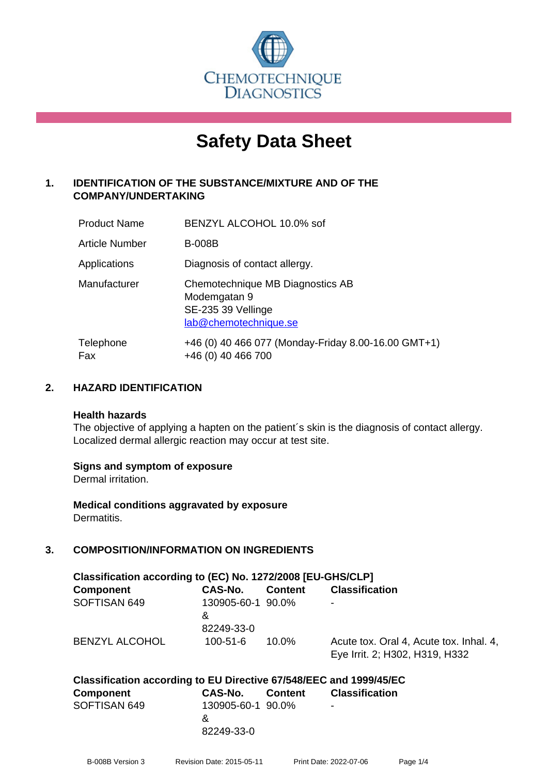

# **Safety Data Sheet**

## **1. IDENTIFICATION OF THE SUBSTANCE/MIXTURE AND OF THE COMPANY/UNDERTAKING**

| <b>Product Name</b> | BENZYL ALCOHOL 10.0% sof                                                                        |
|---------------------|-------------------------------------------------------------------------------------------------|
| Article Number      | <b>B-008B</b>                                                                                   |
| Applications        | Diagnosis of contact allergy.                                                                   |
| Manufacturer        | Chemotechnique MB Diagnostics AB<br>Modemgatan 9<br>SE-235 39 Vellinge<br>lab@chemotechnique.se |
| Telephone<br>Fax    | +46 (0) 40 466 077 (Monday-Friday 8.00-16.00 GMT+1)<br>+46 (0) 40 466 700                       |

## **2. HAZARD IDENTIFICATION**

#### **Health hazards**

The objective of applying a hapten on the patient's skin is the diagnosis of contact allergy. Localized dermal allergic reaction may occur at test site.

#### **Signs and symptom of exposure**

Dermal irritation.

**Medical conditions aggravated by exposure** Dermatitis.

## **3. COMPOSITION/INFORMATION ON INGREDIENTS**

| Classification according to (EC) No. 1272/2008 [EU-GHS/CLP] |                                      |                |                                                                           |  |
|-------------------------------------------------------------|--------------------------------------|----------------|---------------------------------------------------------------------------|--|
| Component                                                   | CAS-No.                              | <b>Content</b> | <b>Classification</b>                                                     |  |
| SOFTISAN 649                                                | 130905-60-1 90.0%<br>&<br>82249-33-0 |                | -                                                                         |  |
| <b>BENZYL ALCOHOL</b>                                       | $100 - 51 - 6$                       | $10.0\%$       | Acute tox. Oral 4, Acute tox. Inhal. 4,<br>Eye Irrit. 2; H302, H319, H332 |  |

| Classification according to EU Directive 67/548/EEC and 1999/45/EC |                   |                                       |
|--------------------------------------------------------------------|-------------------|---------------------------------------|
| <b>Component</b>                                                   |                   | <b>CAS-No.</b> Content Classification |
| SOFTISAN 649                                                       | 130905-60-1 90.0% | $\overline{\phantom{0}}$              |
|                                                                    | x.                |                                       |
|                                                                    | 82249-33-0        |                                       |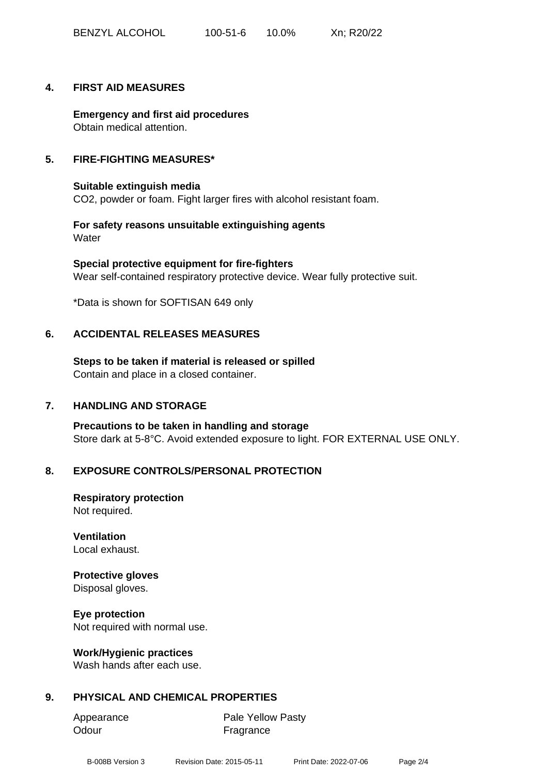#### **4. FIRST AID MEASURES**

**Emergency and first aid procedures** Obtain medical attention.

#### **5. FIRE-FIGHTING MEASURES\***

**Suitable extinguish media** CO2, powder or foam. Fight larger fires with alcohol resistant foam.

**For safety reasons unsuitable extinguishing agents Water** 

**Special protective equipment for fire-fighters** Wear self-contained respiratory protective device. Wear fully protective suit.

\*Data is shown for SOFTISAN 649 only

#### **6. ACCIDENTAL RELEASES MEASURES**

**Steps to be taken if material is released or spilled** Contain and place in a closed container.

#### **7. HANDLING AND STORAGE**

**Precautions to be taken in handling and storage** Store dark at 5-8°C. Avoid extended exposure to light. FOR EXTERNAL USE ONLY.

#### **8. EXPOSURE CONTROLS/PERSONAL PROTECTION**

**Respiratory protection** Not required.

## **Ventilation**

Local exhaust.

#### **Protective gloves**

Disposal gloves.

#### **Eye protection**

Not required with normal use.

#### **Work/Hygienic practices**

Wash hands after each use.

#### **9. PHYSICAL AND CHEMICAL PROPERTIES**

| Appearance | <b>Pale Yellow Pasty</b> |
|------------|--------------------------|
| Odour      | Fragrance                |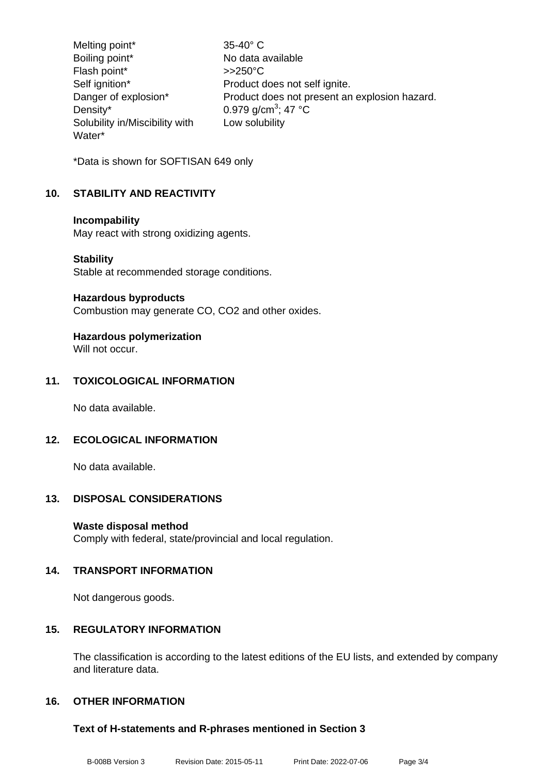Melting point\* 35-40° C Boiling point\* No data available Flash point\* >>250°C Self ignition\* Product does not self ignite.<br>Danger of explosion\* Product does not present are Product does not present an explosion hazard. Density\*  $0.979$  g/cm<sup>3</sup>; 47 °C Solubility in/Miscibility with Water\* Low solubility

\*Data is shown for SOFTISAN 649 only

## **10. STABILITY AND REACTIVITY**

#### **Incompability**

May react with strong oxidizing agents.

## **Stability**

Stable at recommended storage conditions.

#### **Hazardous byproducts**

Combustion may generate CO, CO2 and other oxides.

#### **Hazardous polymerization** Will not occur.

## **11. TOXICOLOGICAL INFORMATION**

No data available.

## **12. ECOLOGICAL INFORMATION**

No data available.

## **13. DISPOSAL CONSIDERATIONS**

#### **Waste disposal method**

Comply with federal, state/provincial and local regulation.

## **14. TRANSPORT INFORMATION**

Not dangerous goods.

## **15. REGULATORY INFORMATION**

The classification is according to the latest editions of the EU lists, and extended by company and literature data.

## **16. OTHER INFORMATION**

## **Text of H-statements and R-phrases mentioned in Section 3**